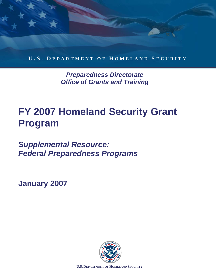

*Preparedness Directorate Office of Grants and Training* 

## **17 ZUU** HOMER<br>Program **ty Grant Program FY 2007 Homeland Security Grant Program**

**Federal Preparedness Programs** *Supplemental Resource:* 

**January 2007** 

*Office of Grants and Training* 



**U.S. DEPARTMENT OF HOMELAND SECURITY**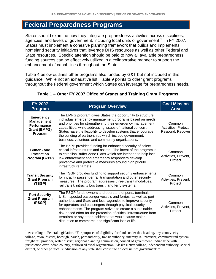## **Federal Preparedness Programs**

States should examine how they integrate preparedness activities across disciplines, agencies, and levels of government, including local units of government.<sup>1</sup> In FY 2007, States must implement a cohesive planning framework that builds and implements homeland security initiatives that leverage DHS resources as well as other Federal and State resources. Specific attention should be paid to how all available preparedness funding sources can be effectively utilized in a collaborative manner to support the enhancement of capabilities throughout the State.

Table 4 below outlines other programs also funded by G&T but not included in this guidance. While not an exhaustive list, Table 9 points to other grant programs throughout the Federal government which States can leverage for preparedness needs.

| FY 2007<br><b>Program</b>                                                                     | <b>Program Overview</b>                                                                                                                                                                                                                                                                                                                                                                                                                                                                                      | <b>Goal Mission</b><br><b>Area</b>                 |
|-----------------------------------------------------------------------------------------------|--------------------------------------------------------------------------------------------------------------------------------------------------------------------------------------------------------------------------------------------------------------------------------------------------------------------------------------------------------------------------------------------------------------------------------------------------------------------------------------------------------------|----------------------------------------------------|
| <b>Emergency</b><br><b>Management</b><br><b>Performance</b><br><b>Grant (EMPG)</b><br>Program | The EMPG program gives States the opportunity to structure<br>individual emergency management programs based on needs<br>and priorities for strengthening their emergency management<br>capabilities, while addressing issues of national concern.<br>States have the flexibility to develop systems that encourage<br>the building of partnerships which include government,<br>business, volunteer, and community organizations.                                                                           | Common<br>Activities, Protect,<br>Respond, Recover |
| <b>Buffer Zone</b><br><b>Protection</b><br>Program (BZPP)                                     | The BZPP provides funding for enhanced security of select<br>critical infrastructures and assets. The intent of the program is<br>to establish Buffer Zone Plans which are intended to help local<br>law enforcement and emergency responders develop<br>preventive and protective measures around high priority<br>infrastructure targets.                                                                                                                                                                  | Common<br>Activities, Prevent,<br>Protect          |
| <b>Transit Security</b><br><b>Grant Program</b><br>(TSGP)                                     | The TSGP provides funding to support security enhancements<br>for intracity passenger rail transportation and other security<br>measures. The program addresses three transit modalities:<br>rail transit, intracity bus transit, and ferry systems.                                                                                                                                                                                                                                                         | Common<br>Activities, Prevent,<br>Protect          |
| <b>Port Security</b><br><b>Grant Program</b><br>(PSGP)                                        | The PSGP funds owners and operators of ports, terminals,<br>U.S. inspected passenger vessels and ferries, as well as port<br>authorities and State and local agencies to improve security<br>for operators and passengers through physical security<br>enhancements. The program strives to create a sustainable,<br>risk-based effort for the protection of critical infrastructure from<br>terrorism or any other incidents that would cause major<br>disruption to commerce and significant loss of life. | Common<br>Activities, Prevent,<br>Protect          |

## **Table 1 – Other FY 2007 Office of Grants and Training Grant Programs**

 $\overline{a}$ 

 $<sup>1</sup>$  According to Federal legislation, "For purposes of eligibility for funds under this heading, any county, city,</sup> village, town, district, borough, parish, port authority, transit authority, intercity rail provider, commuter rail system, freight rail provider, water district, regional planning commission, council of government, Indian tribe with jurisdiction over Indian country, authorized tribal organization, Alaska Native village, independent authority, special district, or other political subdivision of any state shall constitute a 'local unit of government'."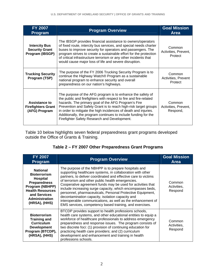| <b>FY 2007</b><br><b>Program</b>                                 | <b>Program Overview</b>                                                                                                                                                                                                                                                                                                                                                                                                                        | <b>Goal Mission</b><br>Area                |
|------------------------------------------------------------------|------------------------------------------------------------------------------------------------------------------------------------------------------------------------------------------------------------------------------------------------------------------------------------------------------------------------------------------------------------------------------------------------------------------------------------------------|--------------------------------------------|
| <b>Intercity Bus</b><br><b>Security Grant</b><br>Program (IBSGP) | The IBSGP provides financial assistance to owners/operators<br>of fixed route, intercity bus services, and special needs charter<br>buses to improve security for operators and passengers. The<br>program strives to create a sustainable effort for the protection<br>of critical infrastructure terrorism or any other incidents that<br>would cause major loss of life and severe disruption.                                              | Common<br>Activities, Prevent,<br>Protect  |
| <b>Trucking Security</b><br>Program (TSP)                        | The purpose of the FY 2006 Trucking Security Program is to<br>continue the Highway Watch® Program as a sustainable<br>national program to enhance security and overall<br>preparedness on our nation's highways.                                                                                                                                                                                                                               | Common<br>Activities, Prevent<br>Protect   |
| Assistance to<br><b>Firefighters Grant</b><br>(AFG) Program      | The purpose of the AFG program is to enhance the safety of<br>the public and firefighters with respect to fire and fire-related<br>hazards. The primary goal of the AFG Program's Fire<br>Prevention and Safety Grant is to reach high-risk target groups<br>in order to mitigate the high incidences of death and injuries.<br>Additionally, the program continues to include funding for the<br>Firefighter Safety Research and Development. | Common<br>Activities, Prevent,<br>Respond, |

Table 10 below highlights seven federal preparedness grant programs developed outside the Office of Grants & Training.

| <b>FY 2007</b><br><b>Program</b>                                                                                                                                                  | <b>Program Overview</b>                                                                                                                                                                                                                                                                                                                                                                                                                                                                                                                                                                                            | <b>Goal Mission</b><br><b>Area</b> |
|-----------------------------------------------------------------------------------------------------------------------------------------------------------------------------------|--------------------------------------------------------------------------------------------------------------------------------------------------------------------------------------------------------------------------------------------------------------------------------------------------------------------------------------------------------------------------------------------------------------------------------------------------------------------------------------------------------------------------------------------------------------------------------------------------------------------|------------------------------------|
| <b>National</b><br><b>Bioterrorism</b><br>Hospital<br><b>Preparedness</b><br>Program (NBHPP)<br><b>Health Resources</b><br>and Services<br><b>Administration</b><br>(HRSA), (HHS) | The purpose of the NBHPP is to prepare hospitals and<br>supporting healthcare systems, in collaboration with other<br>partners, to deliver coordinated and effective care to victims<br>of terrorism and other public health emergencies.<br>Cooperative agreement funds may be used for activities that<br>include increasing surge capacity, which encompasses beds,<br>personnel, pharmaceuticals, Personal Protective Equipment,<br>decontamination capacity, isolation capacity and<br>interoperable communications, as well as the enhancement of<br>EMS services, competency based training, and exercises. | Common<br>Activities,<br>Respond   |
| <b>Bioterrorism</b><br><b>Training and</b><br><b>Curriculum</b><br><b>Development</b><br>Program (BTCDP),<br>(HRSA), (HHS)                                                        | BTCDP provides support to health professions schools,<br>health care systems, and other educational entities to equip a<br>workforce of healthcare professionals to address emergency<br>preparedness and response issues. The program consists of<br>two discrete foci: (1) provision of continuing education for<br>practicing health care providers; and (2) curriculum<br>development and enhancement and training in health<br>professions schools.                                                                                                                                                           | Common<br>Activities,<br>Respond   |